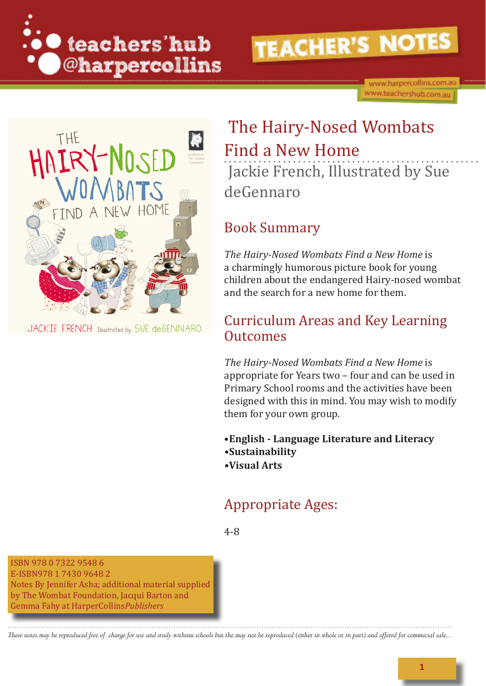

www.harpercollins.com.au www.teachershub.com.au



JACKIE FRENCH Illustrated by SUE deGENNARO

## The Hairy-Nosed Wombats Find a New Home

Jackie French, Illustrated by Sue deGennaro

### Book Summary

*The Hairy-Nosed Wombats Find a New Home* is a charmingly humorous picture book for young children about the endangered Hairy-nosed wombat and the search for a new home for them.

### Curriculum Areas and Key Learning **Outcomes**

*The Hairy-Nosed Wombats Find a New Home* is appropriate for Years two – four and can be used in Primary School rooms and the activities have been designed with this in mind. You may wish to modify them for your own group.

•**English - Language Literature and Literacy •Sustainability**

**•Visual Arts**

### Appropriate Ages:

4-8

ISBN 978 0 7322 9548 6 E-ISBN978 1 7430 9648 2 Notes By Jennifer Asha; additional material supplied by The Wombat Foundation, Jacqui Barton and Gemma Fahy at HarperCollins*Publishers*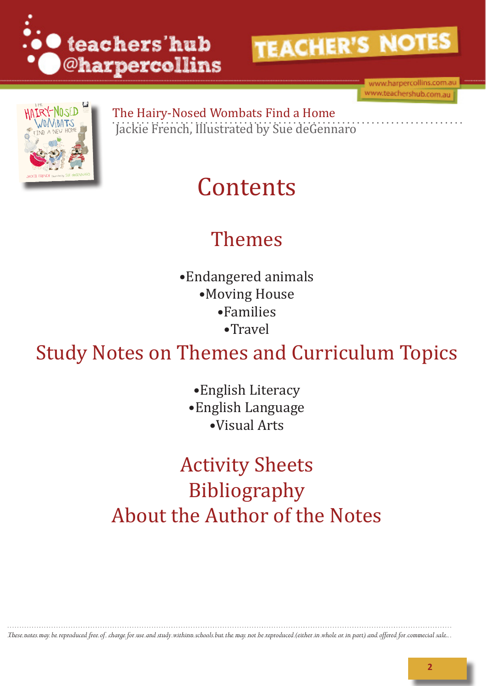



www.harpercollins.com.av www.teachershub.com.au



The Hairy-Nosed Wombats Find a Home Jackie French, Illustrated by Sue deGennaro

# **Contents**

# Themes

•Endangered animals •Moving House •Families •Travel

Study Notes on Themes and Curriculum Topics

•English Literacy •English Language •Visual Arts

Activity Sheets Bibliography About the Author of the Notes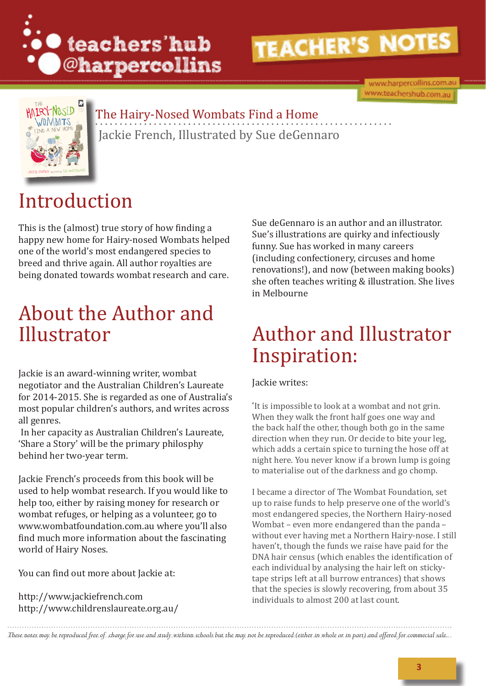

www.harpercollins.com.au www.teachershub.com.au



## The Hairy-Nosed Wombats Find a Home Jackie French, Illustrated by Sue deGennaro

# Introduction

This is the (almost) true story of how finding a happy new home for Hairy-nosed Wombats helped one of the world's most endangered species to breed and thrive again. All author royalties are being donated towards wombat research and care.

## About the Author and Illustrator

Jackie is an award-winning writer, wombat negotiator and the Australian Children's Laureate for 2014-2015. She is regarded as one of Australia's most popular children's authors, and writes across all genres.

 In her capacity as Australian Children's Laureate, 'Share a Story' will be the primary philosphy behind her two-year term.

Jackie French's proceeds from this book will be used to help wombat research. If you would like to help too, either by raising money for research or wombat refuges, or helping as a volunteer, go to www.wombatfoundation.com.au where you'll also find much more information about the fascinating world of Hairy Noses.

You can find out more about Jackie at:

http://www.jackiefrench.com http://www.childrenslaureate.org.au/ Sue deGennaro is an author and an illustrator. Sue's illustrations are quirky and infectiously funny. Sue has worked in many careers (including confectionery, circuses and home renovations!), and now (between making books) she often teaches writing & illustration. She lives in Melbourne

## Author and Illustrator Inspiration:

Jackie writes:

'It is impossible to look at a wombat and not grin. When they walk the front half goes one way and the back half the other, though both go in the same direction when they run. Or decide to bite your leg, which adds a certain spice to turning the hose off at night here. You never know if a brown lump is going to materialise out of the darkness and go chomp.

I became a director of The Wombat Foundation, set up to raise funds to help preserve one of the world's most endangered species, the Northern Hairy-nosed Wombat – even more endangered than the panda – without ever having met a Northern Hairy-nose. I still haven't, though the funds we raise have paid for the DNA hair census (which enables the identification of each individual by analysing the hair left on stickytape strips left at all burrow entrances) that shows that the species is slowly recovering, from about 35 individuals to almost 200 at last count.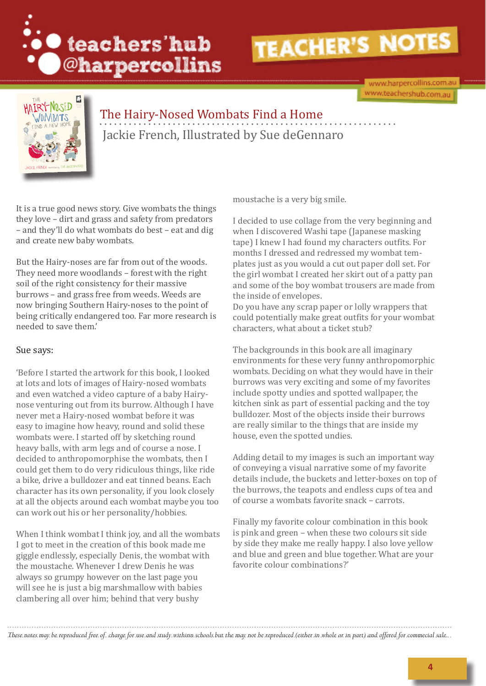

www.harpercollins.com.au www.teachershub.com.au



## The Hairy-Nosed Wombats Find a Home Jackie French, Illustrated by Sue deGennaro

It is a true good news story. Give wombats the things they love – dirt and grass and safety from predators – and they'll do what wombats do best – eat and dig and create new baby wombats.

But the Hairy-noses are far from out of the woods. They need more woodlands – forest with the right soil of the right consistency for their massive burrows – and grass free from weeds. Weeds are now bringing Southern Hairy-noses to the point of being critically endangered too. Far more research is needed to save them.'

#### Sue says:

'Before I started the artwork for this book, I looked at lots and lots of images of Hairy-nosed wombats and even watched a video capture of a baby Hairynose venturing out from its burrow. Although I have never met a Hairy-nosed wombat before it was easy to imagine how heavy, round and solid these wombats were. I started off by sketching round heavy balls, with arm legs and of course a nose. I decided to anthropomorphise the wombats, then I could get them to do very ridiculous things, like ride a bike, drive a bulldozer and eat tinned beans. Each character has its own personality, if you look closely at all the objects around each wombat maybe you too can work out his or her personality/hobbies.

When I think wombat I think joy, and all the wombats I got to meet in the creation of this book made me giggle endlessly, especially Denis, the wombat with the moustache. Whenever I drew Denis he was always so grumpy however on the last page you will see he is just a big marshmallow with babies clambering all over him; behind that very bushy

moustache is a very big smile.

I decided to use collage from the very beginning and when I discovered Washi tape (Japanese masking tape) I knew I had found my characters outfits. For months I dressed and redressed my wombat templates just as you would a cut out paper doll set. For the girl wombat I created her skirt out of a patty pan and some of the boy wombat trousers are made from the inside of envelopes.

Do you have any scrap paper or lolly wrappers that could potentially make great outfits for your wombat characters, what about a ticket stub?

The backgrounds in this book are all imaginary environments for these very funny anthropomorphic wombats. Deciding on what they would have in their burrows was very exciting and some of my favorites include spotty undies and spotted wallpaper, the kitchen sink as part of essential packing and the toy bulldozer. Most of the objects inside their burrows are really similar to the things that are inside my house, even the spotted undies.

Adding detail to my images is such an important way of conveying a visual narrative some of my favorite details include, the buckets and letter-boxes on top of the burrows, the teapots and endless cups of tea and of course a wombats favorite snack – carrots.

Finally my favorite colour combination in this book is pink and green – when these two colours sit side by side they make me really happy. I also love yellow and blue and green and blue together. What are your favorite colour combinations?'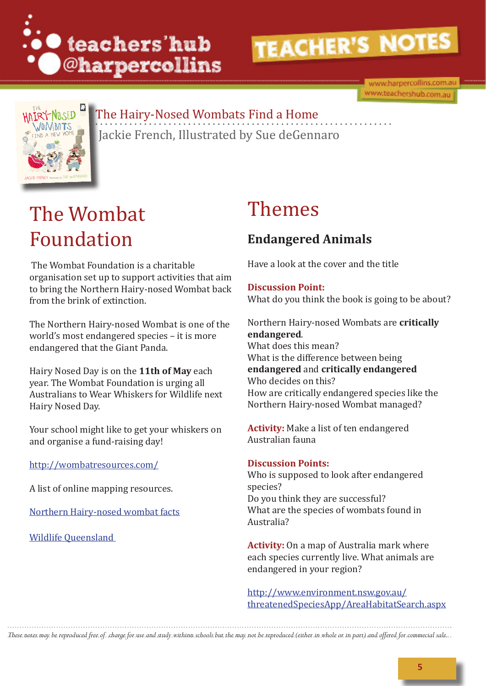

www.harpercollins.com.au www.teachershub.com.au



## The Hairy-Nosed Wombats Find a Home

Jackie French, Illustrated by Sue deGennaro

# The Wombat Foundation

 The Wombat Foundation is a charitable organisation set up to support activities that aim to bring the Northern Hairy-nosed Wombat back from the brink of extinction.

The Northern Hairy-nosed Wombat is one of the world's most endangered species – it is more endangered that the Giant Panda.

Hairy Nosed Day is on the **11th of May** each year. The Wombat Foundation is urging all Australians to Wear Whiskers for Wildlife next Hairy Nosed Day.

Your school might like to get your whiskers on and organise a fund-raising day!

http://wombatresources.com/

A list of online mapping resources.

Northern Hairy-nosed wombat facts

Wildlife Queensland

## Themes

### **Endangered Animals**

Have a look at the cover and the title

**Discussion Point:**  What do you think the book is going to be about?

Northern Hairy-nosed Wombats are **critically endangered**. What does this mean? What is the difference between being **endangered** and **critically endangered**  Who decides on this? How are critically endangered species like the Northern Hairy-nosed Wombat managed?

**Activity:** Make a list of ten endangered Australian fauna

#### **Discussion Points:**

Who is supposed to look after endangered species? Do you think they are successful? What are the species of wombats found in Australia?

**Activity:** On a map of Australia mark where each species currently live. What animals are endangered in your region?

http://www.environment.nsw.gov.au/ threatenedSpeciesApp/AreaHabitatSearch.aspx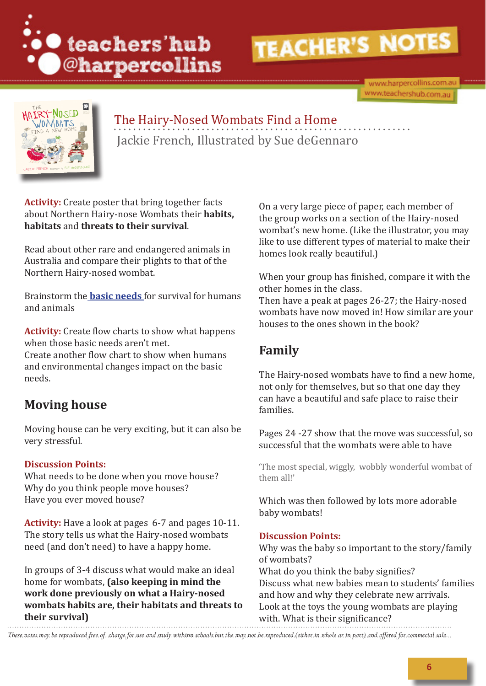

www.harpercollins.com.au www.teachershub.com.au



### The Hairy-Nosed Wombats Find a Home Jackie French, Illustrated by Sue deGennaro

**Activity:** Create poster that bring together facts about Northern Hairy-nose Wombats their **habits, habitats** and **threats to their survival**.

Read about other rare and endangered animals in Australia and compare their plights to that of the Northern Hairy-nosed wombat.

Brainstorm the **basic needs** for survival for humans and animals

**Activity:** Create flow charts to show what happens when those basic needs aren't met. Create another flow chart to show when humans and environmental changes impact on the basic needs.

#### **Moving house**

Moving house can be very exciting, but it can also be very stressful.

#### **Discussion Points:**

What needs to be done when you move house? Why do you think people move houses? Have you ever moved house?

**Activity:** Have a look at pages 6-7 and pages 10-11. The story tells us what the Hairy-nosed wombats need (and don't need) to have a happy home.

In groups of 3-4 discuss what would make an ideal home for wombats, **(also keeping in mind the work done previously on what a Hairy-nosed wombats habits are, their habitats and threats to their survival)** 

On a very large piece of paper, each member of the group works on a section of the Hairy-nosed wombat's new home. (Like the illustrator, you may like to use different types of material to make their homes look really beautiful.)

When your group has finished, compare it with the other homes in the class.

Then have a peak at pages 26-27; the Hairy-nosed wombats have now moved in! How similar are your houses to the ones shown in the book?

#### **Family**

The Hairy-nosed wombats have to find a new home, not only for themselves, but so that one day they can have a beautiful and safe place to raise their families.

Pages 24 -27 show that the move was successful, so successful that the wombats were able to have

'The most special, wiggly, wobbly wonderful wombat of them all!'

Which was then followed by lots more adorable baby wombats!

#### **Discussion Points:**

Why was the baby so important to the story/family of wombats? What do you think the baby signifies? Discuss what new babies mean to students' families and how and why they celebrate new arrivals. Look at the toys the young wombats are playing with. What is their significance?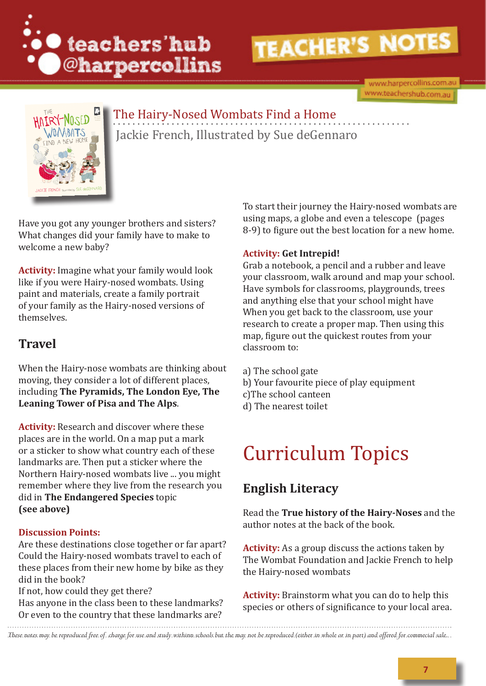

www.harpercollins.com.au www.teachershub.com.au



### The Hairy-Nosed Wombats Find a Home Jackie French, Illustrated by Sue deGennaro

Have you got any younger brothers and sisters? What changes did your family have to make to welcome a new baby?

**Activity:** Imagine what your family would look like if you were Hairy-nosed wombats. Using paint and materials, create a family portrait of your family as the Hairy-nosed versions of themselves.

### **Travel**

When the Hairy-nose wombats are thinking about moving, they consider a lot of different places, including **The Pyramids, The London Eye, The Leaning Tower of Pisa and The Alps**.

**Activity:** Research and discover where these places are in the world. On a map put a mark or a sticker to show what country each of these landmarks are. Then put a sticker where the Northern Hairy-nosed wombats live ... you might remember where they live from the research you did in **The Endangered Species** topic **(see above)**

#### **Discussion Points:**

Are these destinations close together or far apart? Could the Hairy-nosed wombats travel to each of these places from their new home by bike as they did in the book?

If not, how could they get there?

Has anyone in the class been to these landmarks? Or even to the country that these landmarks are?

To start their journey the Hairy-nosed wombats are using maps, a globe and even a telescope (pages 8-9) to figure out the best location for a new home.

#### **Activity: Get Intrepid!**

Grab a notebook, a pencil and a rubber and leave your classroom, walk around and map your school. Have symbols for classrooms, playgrounds, trees and anything else that your school might have When you get back to the classroom, use your research to create a proper map. Then using this map, figure out the quickest routes from your classroom to:

- a) The school gate
- b) Your favourite piece of play equipment
- c)The school canteen
- d) The nearest toilet

# Curriculum Topics

#### **English Literacy**

Read the **True history of the Hairy-Noses** and the author notes at the back of the book.

**Activity:** As a group discuss the actions taken by The Wombat Foundation and Jackie French to help the Hairy-nosed wombats

**Activity:** Brainstorm what you can do to help this species or others of significance to your local area.

These notes may be reproduced free of charge for use and study withinn schools but the may not be reproduced (either in whole or in part) and offered for commecial sale.

**7**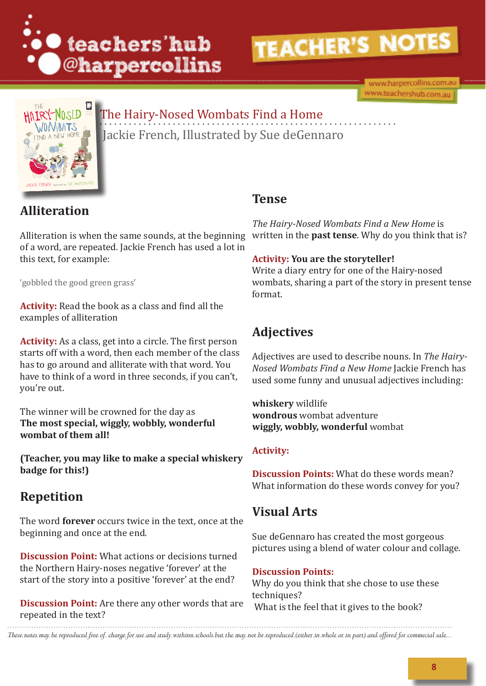

www.harpercollins.com.au www.teachershub.com.au



## The Hairy-Nosed Wombats Find a Home Jackie French, Illustrated by Sue deGennaro

### **Alliteration**

Alliteration is when the same sounds, at the beginning of a word, are repeated. Jackie French has used a lot in this text, for example:

'gobbled the good green grass'

**Activity:** Read the book as a class and find all the examples of alliteration

**Activity:** As a class, get into a circle. The first person starts off with a word, then each member of the class has to go around and alliterate with that word. You have to think of a word in three seconds, if you can't, you're out.

The winner will be crowned for the day as **The most special, wiggly, wobbly, wonderful wombat of them all!** 

**(Teacher, you may like to make a special whiskery badge for this!)**

### **Repetition**

The word **forever** occurs twice in the text, once at the beginning and once at the end.

**Discussion Point:** What actions or decisions turned the Northern Hairy-noses negative 'forever' at the start of the story into a positive 'forever' at the end?

**Discussion Point:** Are there any other words that are repeated in the text?

#### **Tense**

*The Hairy-Nosed Wombats Find a New Home* is written in the **past tense**. Why do you think that is?

#### **Activity: You are the storyteller!**

Write a diary entry for one of the Hairy-nosed wombats, sharing a part of the story in present tense format.

### **Adjectives**

Adjectives are used to describe nouns. In *The Hairy-Nosed Wombats Find a New Home* Jackie French has used some funny and unusual adjectives including:

**whiskery** wildlife **wondrous** wombat adventure **wiggly, wobbly, wonderful** wombat

#### **Activity:**

**Discussion Points:** What do these words mean? What information do these words convey for you?

### **Visual Arts**

Sue deGennaro has created the most gorgeous pictures using a blend of water colour and collage.

#### **Discussion Points:**

Why do you think that she chose to use these techniques? What is the feel that it gives to the book?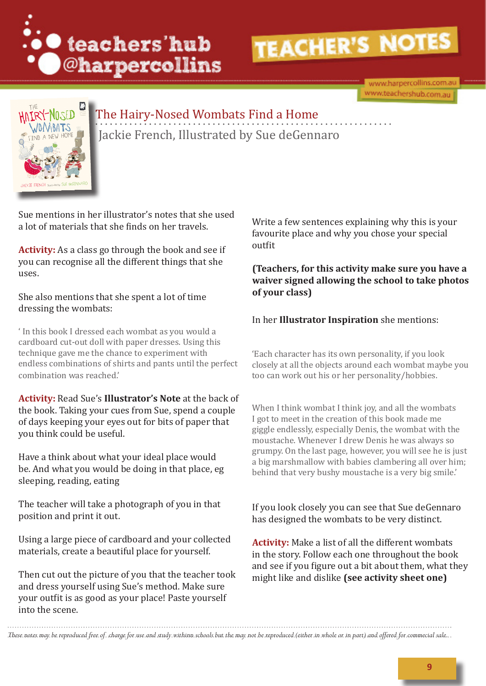

www.harpercollins.com.au www.teachershub.com.au



## The Hairy-Nosed Wombats Find a Home Jackie French, Illustrated by Sue deGennaro

Sue mentions in her illustrator's notes that she used a lot of materials that she finds on her travels.

**Activity:** As a class go through the book and see if you can recognise all the different things that she uses.

She also mentions that she spent a lot of time dressing the wombats:

' In this book I dressed each wombat as you would a cardboard cut-out doll with paper dresses. Using this technique gave me the chance to experiment with endless combinations of shirts and pants until the perfect combination was reached.'

**Activity:** Read Sue's **Illustrator's Note** at the back of the book. Taking your cues from Sue, spend a couple of days keeping your eyes out for bits of paper that you think could be useful.

Have a think about what your ideal place would be. And what you would be doing in that place, eg sleeping, reading, eating

The teacher will take a photograph of you in that position and print it out.

Using a large piece of cardboard and your collected materials, create a beautiful place for yourself.

Then cut out the picture of you that the teacher took and dress yourself using Sue's method. Make sure your outfit is as good as your place! Paste yourself into the scene.

Write a few sentences explaining why this is your favourite place and why you chose your special outfit

**(Teachers, for this activity make sure you have a waiver signed allowing the school to take photos of your class)**

#### In her **Illustrator Inspiration** she mentions:

'Each character has its own personality, if you look closely at all the objects around each wombat maybe you too can work out his or her personality/hobbies.

When I think wombat I think joy, and all the wombats I got to meet in the creation of this book made me giggle endlessly, especially Denis, the wombat with the moustache. Whenever I drew Denis he was always so grumpy. On the last page, however, you will see he is just a big marshmallow with babies clambering all over him; behind that very bushy moustache is a very big smile.'

If you look closely you can see that Sue deGennaro has designed the wombats to be very distinct.

**Activity:** Make a list of all the different wombats in the story. Follow each one throughout the book and see if you figure out a bit about them, what they might like and dislike **(see activity sheet one)**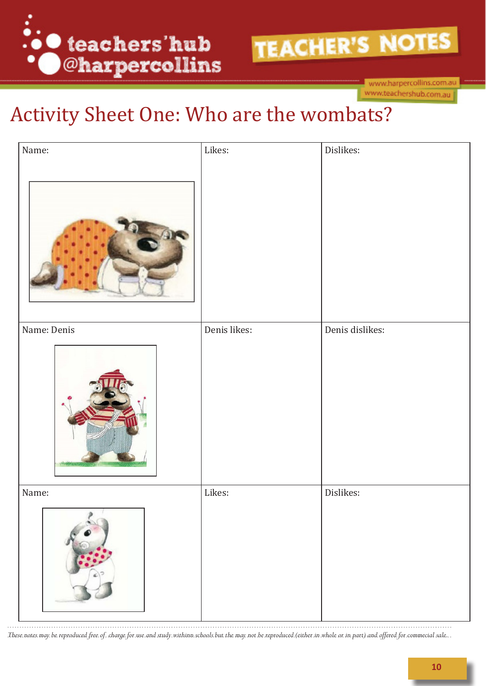

www.harpercollins.com.au www.teachershub.com.au

# Activity Sheet One: Who are the wombats?

| Name:                | Likes:       | Dislikes:       |
|----------------------|--------------|-----------------|
| Name: Denis          | Denis likes: | Denis dislikes: |
| Name:<br>ä<br>ð<br>a | Likes:       | Dislikes:       |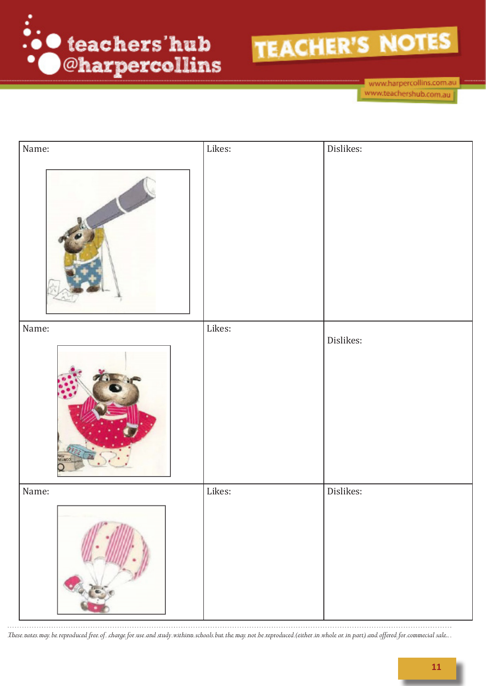



www.harpercollins.com.au www.teachershub.com.au

| Name:        | Likes: | Dislikes: |
|--------------|--------|-----------|
|              |        |           |
| Name:        | Likes: | Dislikes: |
| <b>MILIA</b> |        |           |
| Name:        | Likes: | Dislikes: |
|              |        |           |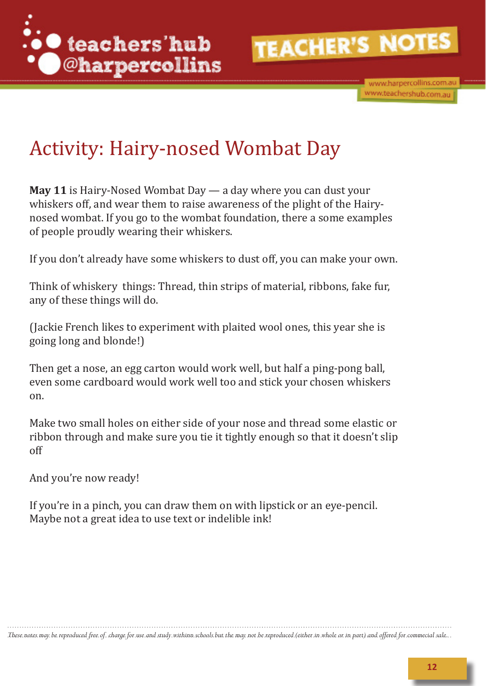

www.harpercollins.com.au www.teachershub.com.au

# Activity: Hairy-nosed Wombat Day

**May 11** is Hairy-Nosed Wombat Day — a day where you can dust your whiskers off, and wear them to raise awareness of the plight of the Hairynosed wombat. If you go to the wombat foundation, there a some examples of people proudly wearing their whiskers.

If you don't already have some whiskers to dust off, you can make your own.

Think of whiskery things: Thread, thin strips of material, ribbons, fake fur, any of these things will do.

(Jackie French likes to experiment with plaited wool ones, this year she is going long and blonde!)

Then get a nose, an egg carton would work well, but half a ping-pong ball, even some cardboard would work well too and stick your chosen whiskers on.

Make two small holes on either side of your nose and thread some elastic or ribbon through and make sure you tie it tightly enough so that it doesn't slip off

And you're now ready!

If you're in a pinch, you can draw them on with lipstick or an eye-pencil. Maybe not a great idea to use text or indelible ink!